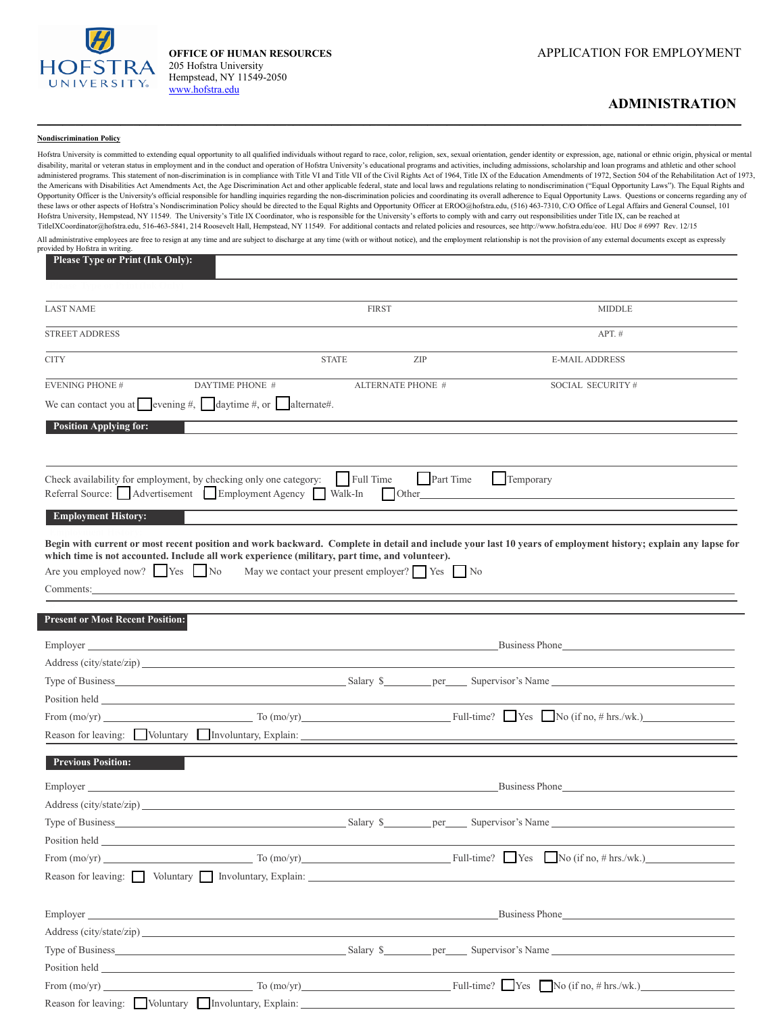

205 Hofstra University Hempstead, NY 11549-2050 [www.hofstra.edu](http://www.hofstra.edu/) 

## **ADMINISTRATION**

## **Nondiscrimination Policy**

Hofstra University is committed to extending equal opportunity to all qualified individuals without regard to race, color, religion, sex, sexual orientation, gender identity or expression, age, national or ethnic origin, p disability, marital or veteran status in employment and in the conduct and operation of Hofstra University's educational programs and activities, including admissions, scholarship and loan programs and athletic and other s administered programs. This statement of non-discrimination is in compliance with Title VI and Title VII of the Civil Rights Act of 1964, Title IX of the Education Amendments of 1972, Section 504 of the Rehabilitation Act the Americans with Disabilities Act Amendments Act, the Age Discrimination Act and other applicable federal, state and local laws and regulations relating to nondiscrimination ("Equal Opportunity Laws"). The Equal Rights a Opportunity Officer is the University's official responsible for handling inquiries regarding the non-discrimination policies and coordinating its overall adherence to Equal Opportunity Laws. Questions or concerns regardin these laws or other aspects of Hofstra's Nondiscrimination Policy should be directed to the Equal Rights and Opportunity Officer at EROO@hofstra.edu, (516) 463-7310, C/O Office of Legal Affairs and General Counsel, 101 Hofstra University, Hempstead, NY 11549. The University's Title IX Coordinator, who is responsible for the University's efforts to comply with and carry out responsibilities under Title IX, can be reached at TitleIXCoordinator@hofstra.edu, 516-463-5841, 214 Roosevelt Hall, Hempstead, NY 11549. For additional contacts and related policies and resources, see http://www.hofstra.edu/eoe. HU Doc # 6997 Rev. 12/15 All administrative employees are free to resign at any time and are subject to discharge at any time (with or without notice), and the employment relationship is not the provision of any external documents except as expres provided by Hofstra in writing.

 $\_$  , and the set of the set of the set of the set of the set of the set of the set of the set of the set of the set of the set of the set of the set of the set of the set of the set of the set of the set of the set of th

| <b>Please Type or Print (Ink Only):</b>                                                                                                                                                                                              |                                                                                                                                                                                                                               |                   |                                                                                                                                                                                                                                                                                                                                                                                                                      |
|--------------------------------------------------------------------------------------------------------------------------------------------------------------------------------------------------------------------------------------|-------------------------------------------------------------------------------------------------------------------------------------------------------------------------------------------------------------------------------|-------------------|----------------------------------------------------------------------------------------------------------------------------------------------------------------------------------------------------------------------------------------------------------------------------------------------------------------------------------------------------------------------------------------------------------------------|
|                                                                                                                                                                                                                                      |                                                                                                                                                                                                                               |                   |                                                                                                                                                                                                                                                                                                                                                                                                                      |
| <b>LAST NAME</b>                                                                                                                                                                                                                     |                                                                                                                                                                                                                               | <b>FIRST</b>      | <b>MIDDLE</b>                                                                                                                                                                                                                                                                                                                                                                                                        |
| <b>STREET ADDRESS</b>                                                                                                                                                                                                                |                                                                                                                                                                                                                               |                   | $APT.$ #                                                                                                                                                                                                                                                                                                                                                                                                             |
| <b>CITY</b>                                                                                                                                                                                                                          | <b>STATE</b>                                                                                                                                                                                                                  | ZIP               | <b>E-MAIL ADDRESS</b>                                                                                                                                                                                                                                                                                                                                                                                                |
| <b>EVENING PHONE #</b>                                                                                                                                                                                                               | DAYTIME PHONE #                                                                                                                                                                                                               | ALTERNATE PHONE # | SOCIAL SECURITY#                                                                                                                                                                                                                                                                                                                                                                                                     |
| We can contact you at evening #, $\Box$ daytime #, or $\Box$ alternate#.                                                                                                                                                             |                                                                                                                                                                                                                               |                   |                                                                                                                                                                                                                                                                                                                                                                                                                      |
| <b>Position Applying for:</b>                                                                                                                                                                                                        |                                                                                                                                                                                                                               |                   |                                                                                                                                                                                                                                                                                                                                                                                                                      |
| Check availability for employment, by checking only one category:<br>Referral Source: Advertisement Employment Agency Walk-In                                                                                                        | Full Time                                                                                                                                                                                                                     | <b>Part Time</b>  | Temporary                                                                                                                                                                                                                                                                                                                                                                                                            |
| <b>Employment History:</b>                                                                                                                                                                                                           |                                                                                                                                                                                                                               |                   |                                                                                                                                                                                                                                                                                                                                                                                                                      |
| which time is not accounted. Include all work experience (military, part time, and volunteer).<br>Are you employed now? $\Box$ Yes $\Box$ No<br>Comments:                                                                            | May we contact your present employer? $\Box$ Yes $\Box$ No                                                                                                                                                                    |                   | Begin with current or most recent position and work backward. Complete in detail and include your last 10 years of employment history; explain any lapse for                                                                                                                                                                                                                                                         |
| <b>Present or Most Recent Position:</b>                                                                                                                                                                                              |                                                                                                                                                                                                                               |                   |                                                                                                                                                                                                                                                                                                                                                                                                                      |
| Emplover                                                                                                                                                                                                                             | and the control of the control of the control of the control of the control of the control of the control of the                                                                                                              |                   | Business Phone                                                                                                                                                                                                                                                                                                                                                                                                       |
|                                                                                                                                                                                                                                      |                                                                                                                                                                                                                               |                   |                                                                                                                                                                                                                                                                                                                                                                                                                      |
|                                                                                                                                                                                                                                      |                                                                                                                                                                                                                               |                   |                                                                                                                                                                                                                                                                                                                                                                                                                      |
|                                                                                                                                                                                                                                      |                                                                                                                                                                                                                               |                   | From $(mo/yr)$ To $(mo/yr)$ To $(mo/yr)$ Full-time? Yes No (if no, # hrs./wk.)                                                                                                                                                                                                                                                                                                                                       |
|                                                                                                                                                                                                                                      |                                                                                                                                                                                                                               |                   | Reason for leaving: Voluntary Involuntary, Explain: 1997 and 2008 and 2009 and 2009 and 2009 and 2009 and 2009 and 2009 and 2009 and 2009 and 2009 and 2009 and 2009 and 2009 and 2009 and 2009 and 2009 and 2009 and 2009 and                                                                                                                                                                                       |
|                                                                                                                                                                                                                                      |                                                                                                                                                                                                                               |                   |                                                                                                                                                                                                                                                                                                                                                                                                                      |
| <b>Previous Position:</b>                                                                                                                                                                                                            |                                                                                                                                                                                                                               |                   |                                                                                                                                                                                                                                                                                                                                                                                                                      |
| Employer                                                                                                                                                                                                                             | <u> 1989 - Johann Stoff, amerikansk politiker (d. 1989)</u>                                                                                                                                                                   |                   | Business Phone                                                                                                                                                                                                                                                                                                                                                                                                       |
|                                                                                                                                                                                                                                      |                                                                                                                                                                                                                               |                   |                                                                                                                                                                                                                                                                                                                                                                                                                      |
|                                                                                                                                                                                                                                      |                                                                                                                                                                                                                               |                   |                                                                                                                                                                                                                                                                                                                                                                                                                      |
| Position held                                                                                                                                                                                                                        | the control of the control of the control of the control of the control of the control of the control of the control of the control of the control of the control of the control of the control of the control of the control |                   |                                                                                                                                                                                                                                                                                                                                                                                                                      |
|                                                                                                                                                                                                                                      |                                                                                                                                                                                                                               |                   | From $(mo/yr)$ To $(mo/yr)$ To $(mo/yr)$ Full-time? Yes No $(ifno, # hrs./wk.)$                                                                                                                                                                                                                                                                                                                                      |
| Reason for leaving: $\Box$ Voluntary $\Box$ Involuntary, Explain: $\Box$                                                                                                                                                             |                                                                                                                                                                                                                               |                   |                                                                                                                                                                                                                                                                                                                                                                                                                      |
|                                                                                                                                                                                                                                      |                                                                                                                                                                                                                               |                   | Business Phone                                                                                                                                                                                                                                                                                                                                                                                                       |
|                                                                                                                                                                                                                                      |                                                                                                                                                                                                                               |                   |                                                                                                                                                                                                                                                                                                                                                                                                                      |
|                                                                                                                                                                                                                                      |                                                                                                                                                                                                                               |                   |                                                                                                                                                                                                                                                                                                                                                                                                                      |
| Position held <b>Server Structure of the Server Structure of the Server Structure of the Server Structure of the Server Structure of the Server Structure of the Server Structure of the Server Structure of the Server Structur</b> |                                                                                                                                                                                                                               |                   |                                                                                                                                                                                                                                                                                                                                                                                                                      |
| From $(mo/yr)$                                                                                                                                                                                                                       |                                                                                                                                                                                                                               |                   | $\frac{1}{\sqrt{1-\frac{1}{2}}\sqrt{1-\frac{1}{2}}\sqrt{1-\frac{1}{2}}\sqrt{1-\frac{1}{2}}\sqrt{1-\frac{1}{2}}\sqrt{1-\frac{1}{2}}\sqrt{1-\frac{1}{2}}\sqrt{1-\frac{1}{2}}\sqrt{1-\frac{1}{2}}\sqrt{1-\frac{1}{2}}\sqrt{1-\frac{1}{2}}\sqrt{1-\frac{1}{2}}\sqrt{1-\frac{1}{2}}\sqrt{1-\frac{1}{2}}\sqrt{1-\frac{1}{2}}\sqrt{1-\frac{1}{2}}\sqrt{1-\frac{1}{2}}\sqrt{1-\frac{1}{2}}\sqrt{1-\frac{1}{2}}\sqrt{1-\frac$ |
| Reason for leaving: Voluntary Involuntary, Explain: ____________________________                                                                                                                                                     |                                                                                                                                                                                                                               |                   |                                                                                                                                                                                                                                                                                                                                                                                                                      |